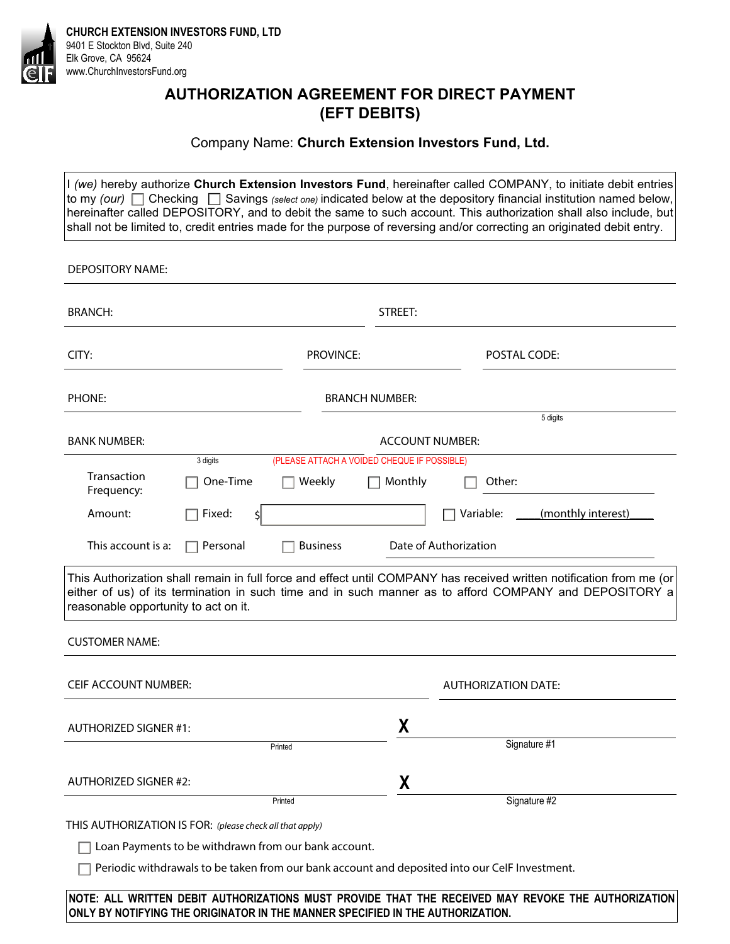

**CHURCH EXTENSION INVESTORS FUND, LTD**  9401 E Stockton Blvd, Suite 240 Elk Grove, CA 95624 www.ChurchInvestorsFund.org

## **AUTHORIZATION AGREEMENT FOR DIRECT PAYMENT (EFT DEBITS)**

### Company Name: **Church Extension Investors Fund, Ltd.**

I *(we)* hereby authorize **Church Extension Investors Fund**, hereinafter called COMPANY, to initiate debit entries to my *(our)*  $\Box$  Checking  $\Box$  Savings *(select one)* indicated below at the depository financial institution named below, hereinafter called DEPOSITORY, and to debit the same to such account. This authorization shall also include, but shall not be limited to, credit entries made for the purpose of reversing and/or correcting an originated debit entry.

| <b>DEPOSITORY NAME:</b>              |                                                          |                                             |                        |                                                                                                                                                                                                                                |
|--------------------------------------|----------------------------------------------------------|---------------------------------------------|------------------------|--------------------------------------------------------------------------------------------------------------------------------------------------------------------------------------------------------------------------------|
| <b>BRANCH:</b>                       |                                                          |                                             | STREET:                |                                                                                                                                                                                                                                |
| CITY:                                |                                                          | <b>PROVINCE:</b>                            |                        | <b>POSTAL CODE:</b>                                                                                                                                                                                                            |
| PHONE:                               |                                                          |                                             | <b>BRANCH NUMBER:</b>  |                                                                                                                                                                                                                                |
|                                      |                                                          |                                             |                        | 5 digits                                                                                                                                                                                                                       |
| <b>BANK NUMBER:</b>                  |                                                          |                                             | <b>ACCOUNT NUMBER:</b> |                                                                                                                                                                                                                                |
|                                      | 3 digits                                                 | (PLEASE ATTACH A VOIDED CHEQUE IF POSSIBLE) |                        |                                                                                                                                                                                                                                |
| Transaction<br>Frequency:            | One-Time                                                 | Weekly                                      | Monthly                | Other:                                                                                                                                                                                                                         |
| Amount:                              | Fixed:<br>\$l                                            |                                             |                        | Variable:<br>(monthly interest)                                                                                                                                                                                                |
| This account is a:                   | Personal                                                 | <b>Business</b>                             |                        | Date of Authorization                                                                                                                                                                                                          |
| reasonable opportunity to act on it. |                                                          |                                             |                        | This Authorization shall remain in full force and effect until COMPANY has received written notification from me (or<br>either of us) of its termination in such time and in such manner as to afford COMPANY and DEPOSITORY a |
| <b>CUSTOMER NAME:</b>                |                                                          |                                             |                        |                                                                                                                                                                                                                                |
| <b>CEIF ACCOUNT NUMBER:</b>          |                                                          |                                             |                        | <b>AUTHORIZATION DATE:</b>                                                                                                                                                                                                     |
| AUTHORIZED SIGNER #1:                |                                                          |                                             | χ                      |                                                                                                                                                                                                                                |
|                                      | Printed                                                  |                                             |                        | Signature #1                                                                                                                                                                                                                   |
| AUTHORIZED SIGNER #2:                |                                                          |                                             | X                      |                                                                                                                                                                                                                                |
|                                      | Printed                                                  |                                             |                        | Signature #2                                                                                                                                                                                                                   |
|                                      | THIS AUTHORIZATION IS FOR: (please check all that apply) |                                             |                        |                                                                                                                                                                                                                                |
|                                      | Loan Payments to be withdrawn from our bank account.     |                                             |                        |                                                                                                                                                                                                                                |
|                                      |                                                          |                                             |                        | Periodic withdrawals to be taken from our bank account and deposited into our CelF Investment.                                                                                                                                 |
|                                      |                                                          |                                             |                        |                                                                                                                                                                                                                                |

**NOTE: ALL WRITTEN DEBIT AUTHORIZATIONS MUST PROVIDE THAT THE RECEIVED MAY REVOKE THE AUTHORIZATION ONLY BY NOTIFYING THE ORIGINATOR IN THE MANNER SPECIFIED IN THE AUTHORIZATION.**